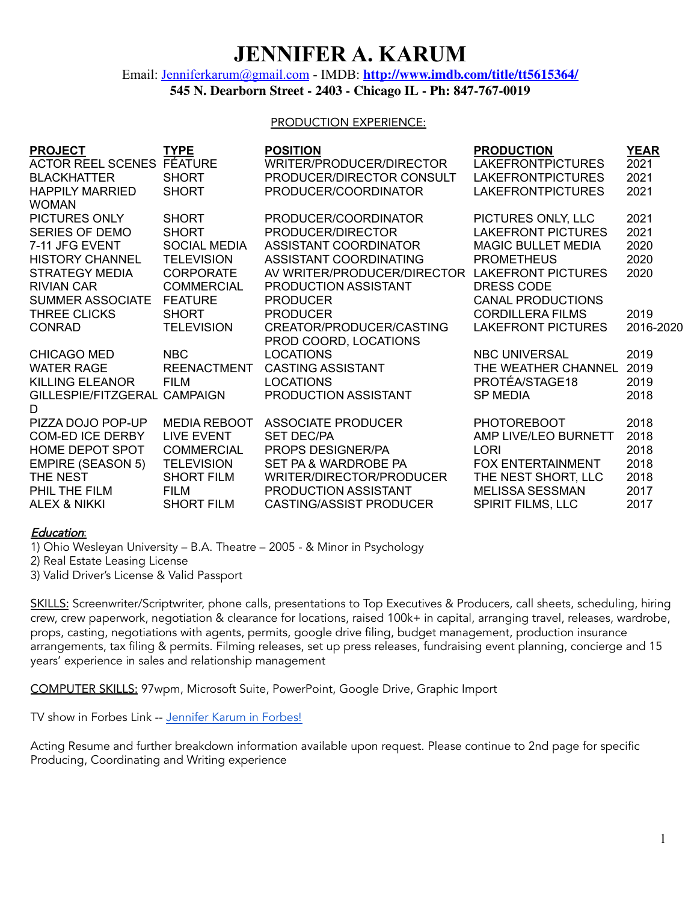# **JENNIFER A. KARUM**

### Email: [Jenniferkarum@gmail.com](mailto:Jenniferkarum@gmail.com) - IMDB: **<http://www.imdb.com/title/tt5615364/> 545 N. Dearborn Street - 2403 - Chicago IL - Ph: 847-767-0019**

#### PRODUCTION EXPERIENCE:

| <b>PROJECT</b>                              | <b>TYPE</b>                       | <b>POSITION</b>                              | <b>PRODUCTION</b>                     | <b>YEAR</b>  |
|---------------------------------------------|-----------------------------------|----------------------------------------------|---------------------------------------|--------------|
| <b>ACTOR REEL SCENES</b>                    | <b>FÉATURE</b>                    | WRITER/PRODUCER/DIRECTOR                     | <b>LAKEFRONTPICTURES</b>              | 2021         |
| <b>BLACKHATTER</b>                          | <b>SHORT</b>                      | PRODUCER/DIRECTOR CONSULT                    | <b>LAKEFRONTPICTURES</b>              | 2021         |
| <b>HAPPILY MARRIED</b><br><b>WOMAN</b>      | <b>SHORT</b>                      | PRODUCER/COORDINATOR                         | <b>LAKEFRONTPICTURES</b>              | 2021         |
| PICTURES ONLY                               | <b>SHORT</b>                      | PRODUCER/COORDINATOR                         | PICTURES ONLY, LLC                    | 2021         |
| <b>SERIES OF DEMO</b>                       | <b>SHORT</b>                      | PRODUCER/DIRECTOR                            | <b>LAKEFRONT PICTURES</b>             | 2021         |
| 7-11 JFG EVENT                              | <b>SOCIAL MEDIA</b>               | ASSISTANT COORDINATOR                        | <b>MAGIC BULLET MEDIA</b>             | 2020         |
| <b>HISTORY CHANNEL</b>                      | <b>TELEVISION</b>                 | ASSISTANT COORDINATING                       | <b>PROMETHEUS</b>                     | 2020         |
| <b>STRATEGY MEDIA</b>                       | <b>CORPORATE</b>                  | AV WRITER/PRODUCER/DIRECTOR                  | <b>LAKEFRONT PICTURES</b>             | 2020         |
| <b>RIVIAN CAR</b>                           | <b>COMMERCIAL</b>                 | PRODUCTION ASSISTANT                         | <b>DRESS CODE</b>                     |              |
| <b>SUMMER ASSOCIATE</b>                     | <b>FEATURE</b>                    | <b>PRODUCER</b>                              | <b>CANAL PRODUCTIONS</b>              |              |
| THREE CLICKS                                | <b>SHORT</b>                      | <b>PRODUCER</b>                              | <b>CORDILLERA FILMS</b>               | 2019         |
| <b>CONRAD</b>                               | <b>TELEVISION</b>                 | CREATOR/PRODUCER/CASTING                     | <b>LAKEFRONT PICTURES</b>             | 2016-2020    |
|                                             |                                   | PROD COORD, LOCATIONS                        |                                       |              |
| <b>CHICAGO MED</b>                          | <b>NBC</b>                        | <b>LOCATIONS</b>                             | <b>NBC UNIVERSAL</b>                  | 2019<br>2019 |
| <b>WATER RAGE</b><br><b>KILLING ELEANOR</b> | <b>REENACTMENT</b><br><b>FILM</b> | <b>CASTING ASSISTANT</b><br><b>LOCATIONS</b> | THE WEATHER CHANNEL<br>PROTÉA/STAGE18 | 2019         |
| GILLESPIE/FITZGERAL CAMPAIGN                |                                   | PRODUCTION ASSISTANT                         | <b>SP MEDIA</b>                       | 2018         |
| D                                           |                                   |                                              |                                       |              |
| PIZZA DOJO POP-UP                           | <b>MEDIA REBOOT</b>               | <b>ASSOCIATE PRODUCER</b>                    | <b>PHOTOREBOOT</b>                    | 2018         |
| <b>COM-ED ICE DERBY</b>                     | <b>LIVE EVENT</b>                 | <b>SET DEC/PA</b>                            | AMP LIVE/LEO BURNETT                  | 2018         |
| HOME DEPOT SPOT                             | <b>COMMERCIAL</b>                 | PROPS DESIGNER/PA                            | <b>LORI</b>                           | 2018         |
| <b>EMPIRE (SEASON 5)</b>                    | <b>TELEVISION</b>                 | SET PA & WARDROBE PA                         | <b>FOX ENTERTAINMENT</b>              | 2018         |
| THE NEST                                    | <b>SHORT FILM</b>                 | WRITER/DIRECTOR/PRODUCER                     | THE NEST SHORT, LLC                   | 2018         |
| PHIL THE FILM                               | <b>FILM</b>                       | PRODUCTION ASSISTANT                         | <b>MELISSA SESSMAN</b>                | 2017         |
| <b>ALEX &amp; NIKKI</b>                     | <b>SHORT FILM</b>                 | CASTING/ASSIST PRODUCER                      | <b>SPIRIT FILMS, LLC</b>              | 2017         |

#### Education:

1) Ohio Wesleyan University – B.A. Theatre – 2005 - & Minor in Psychology

2) Real Estate Leasing License

3) Valid Driver's License & Valid Passport

SKILLS: Screenwriter/Scriptwriter, phone calls, presentations to Top Executives & Producers, call sheets, scheduling, hiring crew, crew paperwork, negotiation & clearance for locations, raised 100k+ in capital, arranging travel, releases, wardrobe, props, casting, negotiations with agents, permits, google drive filing, budget management, production insurance arrangements, tax filing & permits. Filming releases, set up press releases, fundraising event planning, concierge and 15 years' experience in sales and relationship management

COMPUTER SKILLS: 97wpm, Microsoft Suite, PowerPoint, Google Drive, Graphic Import

TV show in Forbes Link -- [Jennifer](https://www.forbes.com/sites/jimryan1/2020/05/31/jennifer-goodman-and-ryan-atkins-on-maintaining-connection-with-an-audience-amidst-covid-19-and-guiding-conrad-from-pilot-to-pitch/#3b38bba290cb) Karum in Forbes!

Acting Resume and further breakdown information available upon request. Please continue to 2nd page for specific Producing, Coordinating and Writing experience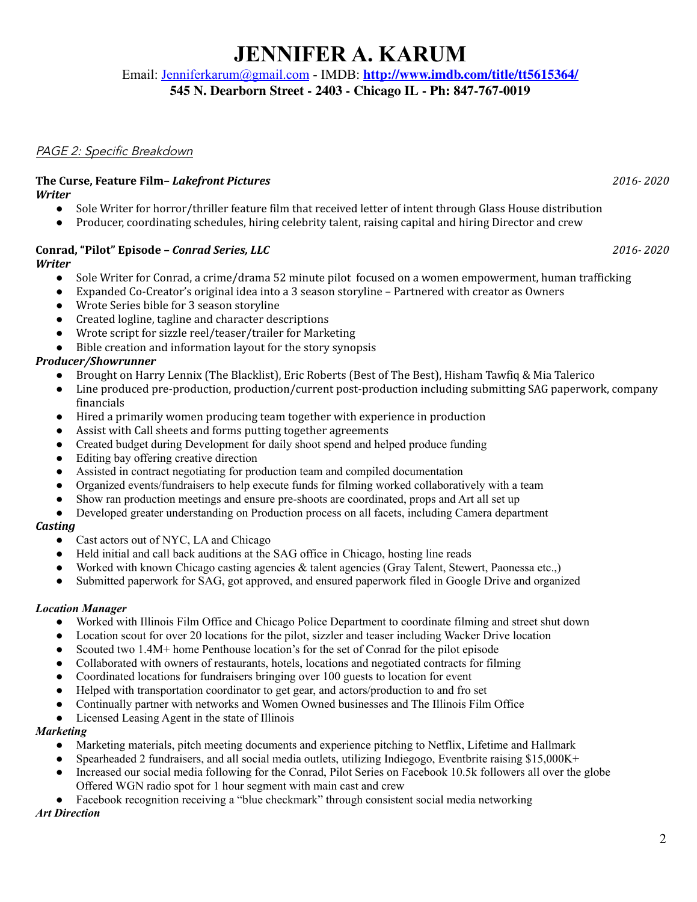# **JENNIFER A. KARUM**

Email: [Jenniferkarum@gmail.com](mailto:Jenniferkarum@gmail.com) - IMDB: **<http://www.imdb.com/title/tt5615364/>**

**545 N. Dearborn Street - 2403 - Chicago IL - Ph: 847-767-0019**

### PAGE 2: Specific Breakdown

#### **The Curse, Feature Film–** *Lakefront Pictures 2016- 2020 Writer*

- Sole Writer for horror/thriller feature film that received letter of intent through Glass House distribution
- Producer, coordinating schedules, hiring celebrity talent, raising capital and hiring Director and crew

# **Conrad, "Pilot" Episode –** *Conrad Series, LLC 2016- 2020*

### *Writer*

- Sole Writer for Conrad, a crime/drama 52 minute pilot focused on a women empowerment, human trafficking
- Expanded Co-Creator's original idea into a 3 season storyline Partnered with creator as Owners
- Wrote Series bible for 3 season storyline
- Created logline, tagline and character descriptions
- Wrote script for sizzle reel/teaser/trailer for Marketing
- Bible creation and information layout for the story synopsis

# *Producer/Showrunner*

- Brought on Harry Lennix (The Blacklist), Eric Roberts (Best of The Best), Hisham Tawfiq & Mia Talerico
- Line produced pre-production, production/current post-production including submitting SAG paperwork, company financials
- Hired a primarily women producing team together with experience in production
- Assist with Call sheets and forms putting together agreements
- Created budget during Development for daily shoot spend and helped produce funding
- Editing bay offering creative direction
- Assisted in contract negotiating for production team and compiled documentation
- Organized events/fundraisers to help execute funds for filming worked collaboratively with a team
- Show ran production meetings and ensure pre-shoots are coordinated, props and Art all set up
- Developed greater understanding on Production process on all facets, including Camera department

# *Casting*

- Cast actors out of NYC, LA and Chicago
- Held initial and call back auditions at the SAG office in Chicago, hosting line reads
- Worked with known Chicago casting agencies  $&$  talent agencies (Gray Talent, Stewert, Paonessa etc.,)
- Submitted paperwork for SAG, got approved, and ensured paperwork filed in Google Drive and organized

# *Location Manager*

- Worked with Illinois Film Office and Chicago Police Department to coordinate filming and street shut down
- Location scout for over 20 locations for the pilot, sizzler and teaser including Wacker Drive location
- Scouted two 1.4M+ home Penthouse location's for the set of Conrad for the pilot episode
- Collaborated with owners of restaurants, hotels, locations and negotiated contracts for filming
- Coordinated locations for fundraisers bringing over 100 guests to location for event
- Helped with transportation coordinator to get gear, and actors/production to and fro set
- Continually partner with networks and Women Owned businesses and The Illinois Film Office
- Licensed Leasing Agent in the state of Illinois

# *Marketing*

- Marketing materials, pitch meeting documents and experience pitching to Netflix, Lifetime and Hallmark
- Spearheaded 2 fundraisers, and all social media outlets, utilizing Indiegogo, Eventbrite raising \$15,000K+
- Increased our social media following for the Conrad, Pilot Series on Facebook 10.5k followers all over the globe Offered WGN radio spot for 1 hour segment with main cast and crew
- Facebook recognition receiving a "blue checkmark" through consistent social media networking

# *Art Direction*